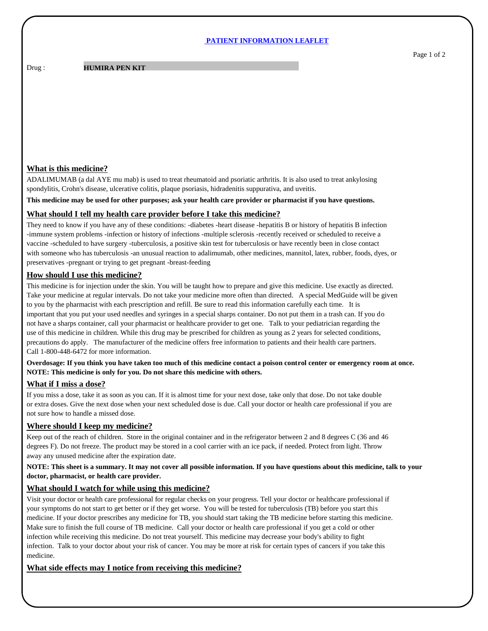#### **PATIENT INFORMATION LEAFLET**

**HUMIRA PEN KIT** 

### **What is this medicine?**

Drug :

ADALIMUMAB (a dal AYE mu mab) is used to treat rheumatoid and psoriatic arthritis. It is also used to treat ankylosing spondylitis, Crohn's disease, ulcerative colitis, plaque psoriasis, hidradenitis suppurativa, and uveitis.

**This medicine may be used for other purposes; ask your health care provider or pharmacist if you have questions.**

### **What should I tell my health care provider before I take this medicine?**

They need to know if you have any of these conditions: -diabetes -heart disease -hepatitis B or history of hepatitis B infection -immune system problems -infection or history of infections -multiple sclerosis -recently received or scheduled to receive a vaccine -scheduled to have surgery -tuberculosis, a positive skin test for tuberculosis or have recently been in close contact with someone who has tuberculosis -an unusual reaction to adalimumab, other medicines, mannitol, latex, rubber, foods, dyes, or preservatives -pregnant or trying to get pregnant -breast-feeding

### **How should I use this medicine?**

This medicine is for injection under the skin. You will be taught how to prepare and give this medicine. Use exactly as directed. Take your medicine at regular intervals. Do not take your medicine more often than directed. A special MedGuide will be given to you by the pharmacist with each prescription and refill. Be sure to read this information carefully each time. It is important that you put your used needles and syringes in a special sharps container. Do not put them in a trash can. If you do not have a sharps container, call your pharmacist or healthcare provider to get one. Talk to your pediatrician regarding the use of this medicine in children. While this drug may be prescribed for children as young as 2 years for selected conditions, precautions do apply. The manufacturer of the medicine offers free information to patients and their health care partners. Call 1-800-448-6472 for more information.

### **Overdosage: If you think you have taken too much of this medicine contact a poison control center or emergency room at once. NOTE: This medicine is only for you. Do not share this medicine with others.**

# **What if I miss a dose?**

If you miss a dose, take it as soon as you can. If it is almost time for your next dose, take only that dose. Do not take double or extra doses. Give the next dose when your next scheduled dose is due. Call your doctor or health care professional if you are not sure how to handle a missed dose.

# **Where should I keep my medicine?**

Keep out of the reach of children. Store in the original container and in the refrigerator between 2 and 8 degrees C (36 and 46 degrees F). Do not freeze. The product may be stored in a cool carrier with an ice pack, if needed. Protect from light. Throw away any unused medicine after the expiration date.

### **NOTE: This sheet is a summary. It may not cover all possible information. If you have questions about this medicine, talk to your doctor, pharmacist, or health care provider.**

# **What should I watch for while using this medicine?**

Visit your doctor or health care professional for regular checks on your progress. Tell your doctor or healthcare professional if your symptoms do not start to get better or if they get worse. You will be tested for tuberculosis (TB) before you start this medicine. If your doctor prescribes any medicine for TB, you should start taking the TB medicine before starting this medicine. Make sure to finish the full course of TB medicine. Call your doctor or health care professional if you get a cold or other infection while receiving this medicine. Do not treat yourself. This medicine may decrease your body's ability to fight infection. Talk to your doctor about your risk of cancer. You may be more at risk for certain types of cancers if you take this medicine.

# **What side effects may I notice from receiving this medicine?**

Page 1 of 2